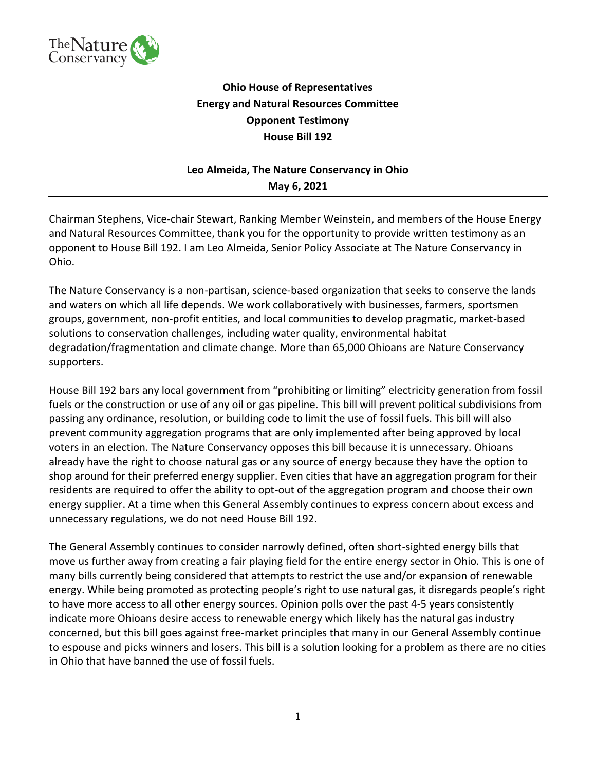

## **Ohio House of Representatives Energy and Natural Resources Committee Opponent Testimony House Bill 192**

## **Leo Almeida, The Nature Conservancy in Ohio May 6, 2021**

Chairman Stephens, Vice-chair Stewart, Ranking Member Weinstein, and members of the House Energy and Natural Resources Committee, thank you for the opportunity to provide written testimony as an opponent to House Bill 192. I am Leo Almeida, Senior Policy Associate at The Nature Conservancy in Ohio.

The Nature Conservancy is a non-partisan, science-based organization that seeks to conserve the lands and waters on which all life depends. We work collaboratively with businesses, farmers, sportsmen groups, government, non-profit entities, and local communities to develop pragmatic, market-based solutions to conservation challenges, including water quality, environmental habitat degradation/fragmentation and climate change. More than 65,000 Ohioans are Nature Conservancy supporters.

House Bill 192 bars any local government from "prohibiting or limiting" electricity generation from fossil fuels or the construction or use of any oil or gas pipeline. This bill will prevent political subdivisions from passing any ordinance, resolution, or building code to limit the use of fossil fuels. This bill will also prevent community aggregation programs that are only implemented after being approved by local voters in an election. The Nature Conservancy opposes this bill because it is unnecessary. Ohioans already have the right to choose natural gas or any source of energy because they have the option to shop around for their preferred energy supplier. Even cities that have an aggregation program for their residents are required to offer the ability to opt-out of the aggregation program and choose their own energy supplier. At a time when this General Assembly continues to express concern about excess and unnecessary regulations, we do not need House Bill 192.

The General Assembly continues to consider narrowly defined, often short-sighted energy bills that move us further away from creating a fair playing field for the entire energy sector in Ohio. This is one of many bills currently being considered that attempts to restrict the use and/or expansion of renewable energy. While being promoted as protecting people's right to use natural gas, it disregards people's right to have more access to all other energy sources. Opinion polls over the past 4-5 years consistently indicate more Ohioans desire access to renewable energy which likely has the natural gas industry concerned, but this bill goes against free-market principles that many in our General Assembly continue to espouse and picks winners and losers. This bill is a solution looking for a problem as there are no cities in Ohio that have banned the use of fossil fuels.